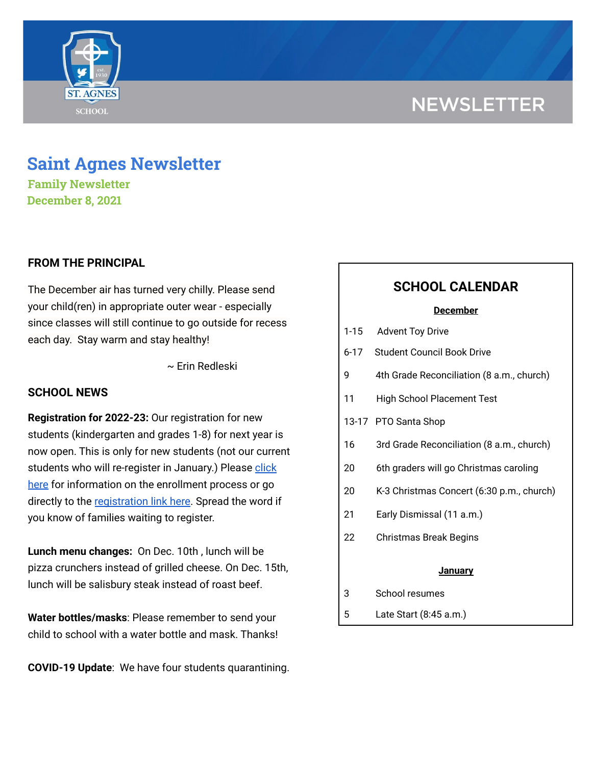# **NEWSLETTER**



# **Saint Agnes Newsletter**

**Family Newsletter December 8, 2021**

# **FROM THE PRINCIPAL**

The December air has turned very chilly. Please send your child(ren) in appropriate outer wear - especially since classes will still continue to go outside for recess each day. Stay warm and stay healthy!

~ Erin Redleski

# **SCHOOL NEWS**

**Registration for 2022-23:** Our registration for new students (kindergarten and grades 1-8) for next year is now open. This is only for new students (not our current students who will re-register in January.) Please [click](https://school.saintagnes.com/admission/) [here](https://school.saintagnes.com/admission/) for information on the enrollment process or go directly to the [registration](https://sycamore.school/login?schoolId=3292) link here. Spread the word if you know of families waiting to register.

**Lunch menu changes:** On Dec. 10th , lunch will be pizza crunchers instead of grilled cheese. On Dec. 15th, lunch will be salisbury steak instead of roast beef.

**Water bottles/masks**: Please remember to send your child to school with a water bottle and mask. Thanks!

**COVID-19 Update**: We have four students quarantining.

# **SCHOOL CALENDAR**

#### **December**

- 1-15 Advent Toy Drive
- 6-17 Student Council Book Drive
- 9 4th Grade Reconciliation (8 a.m., church)
- 11 High School Placement Test
- 13-17 PTO Santa Shop
- 16 3rd Grade Reconciliation (8 a.m., church)
- 20 6th graders will go Christmas caroling
- 20 K-3 Christmas Concert (6:30 p.m., church)
- 21 Early Dismissal (11 a.m.)
- 22 Christmas Break Begins

#### **January**

- 3 School resumes
- 5 Late Start (8:45 a.m.)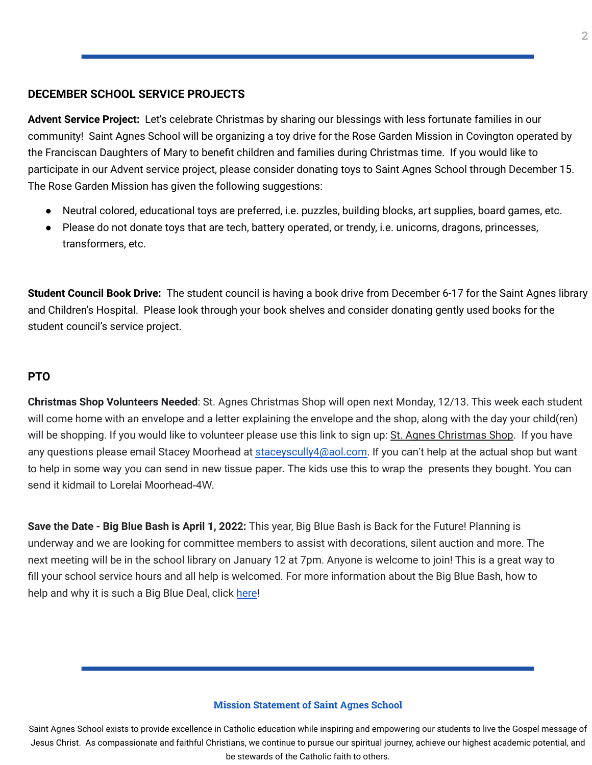# **DECEMBER SCHOOL SERVICE PROJECTS**

**Advent Service Project:** Let's celebrate Christmas by sharing our blessings with less fortunate families in our community! Saint Agnes School will be organizing a toy drive for the Rose Garden Mission in Covington operated by the Franciscan Daughters of Mary to benefit children and families during Christmas time. If you would like to participate in our Advent service project, please consider donating toys to Saint Agnes School through December 15. The Rose Garden Mission has given the following suggestions:

- Neutral colored, educational toys are preferred, i.e. puzzles, building blocks, art supplies, board games, etc.
- Please do not donate toys that are tech, battery operated, or trendy, i.e. unicorns, dragons, princesses, transformers, etc.

**Student Council Book Drive:** The student council is having a book drive from December 6-17 for the Saint Agnes library and Children's Hospital. Please look through your book shelves and consider donating gently used books for the student council's service project.

# **PTO**

**Christmas Shop Volunteers Needed**: St. Agnes Christmas Shop will open next Monday, 12/13. This week each student will come home with an envelope and a letter explaining the envelope and the shop, along with the day your child(ren) will be shopping. If you would like to volunteer please use this link to sign up: St. Agnes [Christmas](https://www.signupgenius.com/go/5080A4CA9A92BA4FE3-stagnes) Shop. If you have any questions please email Stacey Moorhead at [staceyscully4@aol.com.](mailto:staceyscully4@aol.com) If you can't help at the actual shop but want to help in some way you can send in new tissue paper. The kids use this to wrap the presents they bought. You can send it kidmail to Lorelai Moorhead-4W.

**Save the Date - Big Blue Bash is April 1, 2022:** This year, Big Blue Bash is Back for the Future! Planning is underway and we are looking for committee members to assist with decorations, silent auction and more. The next meeting will be in the school library on January 12 at 7pm. Anyone is welcome to join! This is a great way to fill your school service hours and all help is welcomed. For more information about the Big Blue Bash, how to help and why it is such a Big Blue Deal, click [here!](https://bbb2022.givesmart.com/)

#### **Mission Statement of Saint Agnes School**

Saint Agnes School exists to provide excellence in Catholic education while inspiring and empowering our students to live the Gospel message of Jesus Christ. As compassionate and faithful Christians, we continue to pursue our spiritual journey, achieve our highest academic potential, and be stewards of the Catholic faith to others.